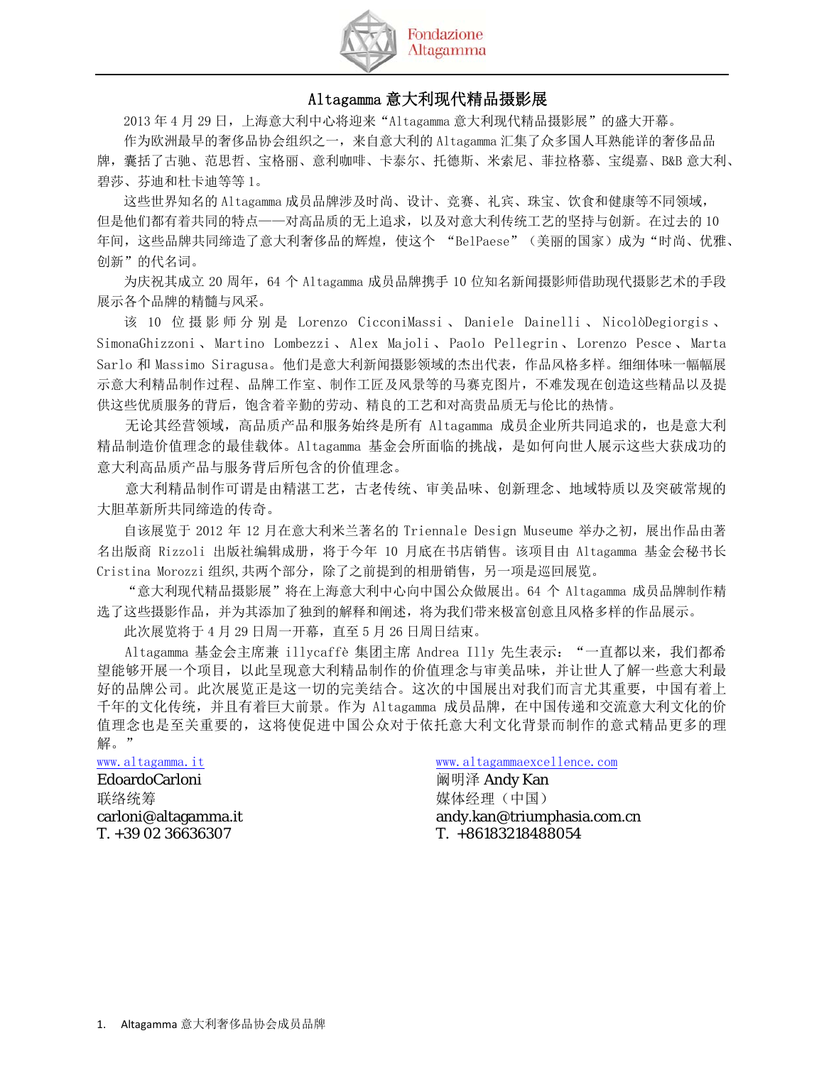

## Altagamma 意大利现代精品摄影展

2013 年 4 月 29 日,上海意大利中心将迎来"Altagamma 意大利现代精品摄影展"的盛大开幕。 作为欧洲最早的奢侈品协会组织之一,来自意大利的 Altagamma 汇集了众多国人耳熟能详的奢侈品品 牌,囊括了古驰、范思哲、宝格丽、意利咖啡、卡泰尔、托德斯、米索尼、菲拉格慕、宝缇嘉、B&B 意大利、 碧莎、芬迪和杜卡迪等等 1。

这些世界知名的 Altagamma 成员品牌涉及时尚、设计、竞赛、礼宾、珠宝、饮食和健康等不同领域, 但是他们都有着共同的特点——对高品质的无上追求,以及对意大利传统工艺的坚持与创新。在过去的 10 年间,这些品牌共同缔造了意大利奢侈品的辉煌,使这个 "BelPaese"(美丽的国家)成为"时尚、优雅、 创新"的代名词。

为庆祝其成立 20 周年,64 个 Altagamma 成员品牌携手 10 位知名新闻摄影师借助现代摄影艺术的手段 展示各个品牌的精髓与风采。

该 10 位 摄 影 师 分 别 是 Lorenzo CicconiMassi 、 Daniele Dainelli 、 NicolòDegiorgis 、 SimonaGhizzoni 、 Martino Lombezzi 、 Alex Majoli 、 Paolo Pellegrin 、 Lorenzo Pesce 、 Marta Sarlo 和 Massimo Siragusa。他们是意大利新闻摄影领域的杰出代表,作品风格多样。细细体味一幅幅展 示意大利精品制作过程、品牌工作室、制作工匠及风景等的马赛克图片,不难发现在创造这些精品以及提 供这些优质服务的背后,饱含着辛勤的劳动、精良的工艺和对高贵品质无与伦比的热情。

无论其经营领域,高品质产品和服务始终是所有 Altagamma 成员企业所共同追求的,也是意大利 精品制造价值理念的最佳载体。Altagamma 基金会所面临的挑战,是如何向世人展示这些大获成功的 意大利高品质产品与服务背后所包含的价值理念。

意大利精品制作可谓是由精湛工艺,古老传统、审美品味、创新理念、地域特质以及突破常规的 大胆革新所共同缔造的传奇。

自该展览于 2012 年 12 月在意大利米兰著名的 Triennale Design Museume 举办之初,展出作品由著 名出版商 Rizzoli 出版社编辑成册,将于今年 10 月底在书店销售。该项目由 Altagamma 基金会秘书长 Cristina Morozzi 组织,共两个部分,除了之前提到的相册销售,另一项是巡回展览。

"意大利现代精品摄影展"将在上海意大利中心向中国公众做展出。64 个 Altagamma 成员品牌制作精 选了这些摄影作品,并为其添加了独到的解释和阐述,将为我们带来极富创意且风格多样的作品展示。

此次展览将于 4 月 29 日周一开幕,直至 5 月 26 日周日结束。

Altagamma 基金会主席兼 illycaffè 集团主席 Andrea Illy 先生表示:"一直都以来,我们都希 望能够开展一个项目,以此呈现意大利精品制作的价值理念与审美品味,并让世人了解一些意大利最 好的品牌公司。此次展览正是这一切的完美结合。这次的中国展出对我们而言尤其重要,中国有着上 千年的文化传统,并且有着巨大前景。作为 Altagamma 成员品牌,在中国传递和交流意大利文化的价 值理念也是至关重要的,这将使促进中国公众对于依托意大利文化背景而制作的意式精品更多的理 解。"

# EdoardoCarloni **http://www.frack.com/default/standy Manufacturer** 阚明泽 Andy Kan

联络统筹 またま またま またま おおとこ まんじょう 媒体经理 (中国) T. +39 02 36636307 T. +86183218488054

www.altagamma.it www.altagammaexcellence.com carloni@altagamma.it andy.kan@triumphasia.com.cn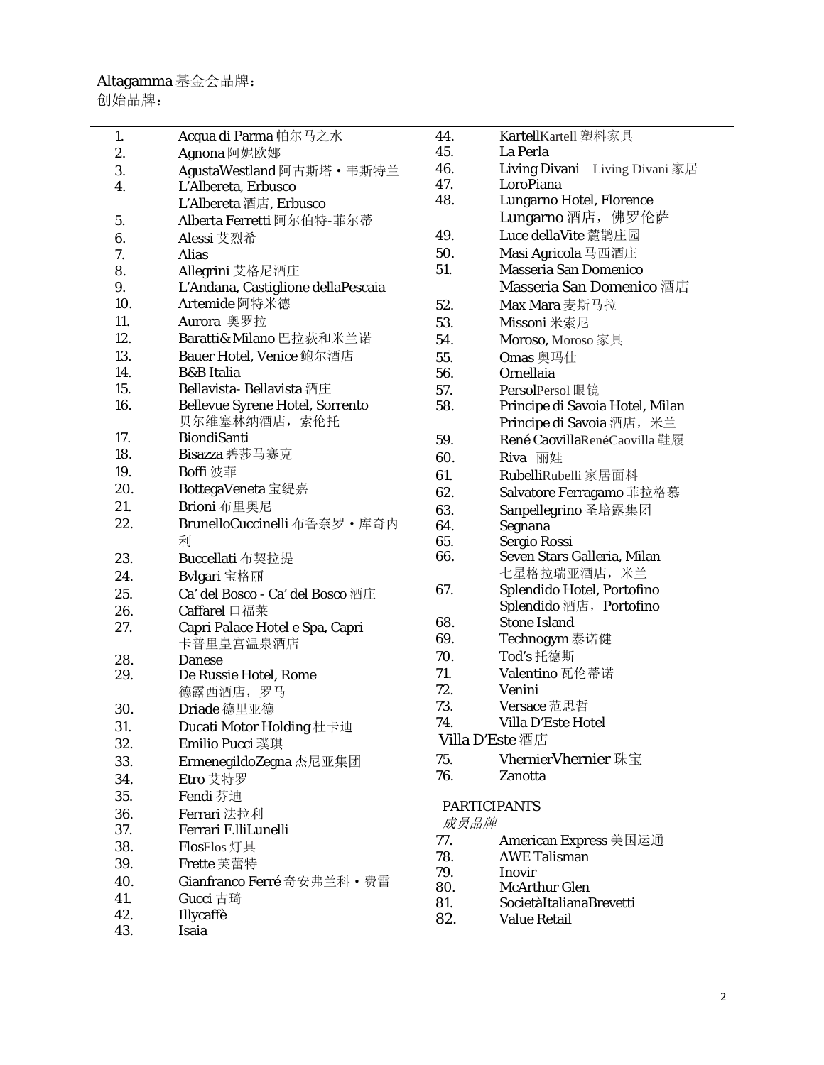| 1.  | Acqua di Parma 帕尔马之水                   |
|-----|----------------------------------------|
| 2.  | Agnona 阿妮欧娜                            |
| 3.  | AgustaWestland 阿古斯塔·韦斯特兰               |
| 4.  | L'Albereta, Erbusco                    |
|     | L'Albereta 酒店, Erbusco                 |
| 5.  | Alberta Ferretti 阿尔伯特-菲尔蒂              |
| 6.  | Alessi 艾烈希                             |
| 7.  | Alias                                  |
| 8.  | Allegrini 艾格尼酒庄                        |
| 9.  | L'Andana, Castiglione dellaPescaia     |
| 10. | Artemide 阿特米德                          |
| 11. | Aurora 奥罗拉                             |
| 12. | Baratti& Milano 巴拉获和米兰诺                |
| 13. | Bauer Hotel, Venice 鲍尔酒店               |
| 14. | <b>B&amp;B</b> Italia                  |
| 15. | <b>Bellavista- Bellavista</b> 酒庄       |
| 16. | <b>Bellevue Syrene Hotel, Sorrento</b> |
|     | 贝尔维塞林纳酒店, 索伦托                          |
| 17. | <b>BiondiSanti</b>                     |
| 18. | Bisazza 碧莎马赛克                          |
| 19. | Boffi 波菲                               |
| 20. | BottegaVeneta 宝缇嘉                      |
| 21. | Brioni 布里奥尼                            |
| 22. | BrunelloCuccinelli 布鲁奈罗 · 库奇内          |
|     | 利                                      |
| 23. | Buccellati 布契拉提                        |
| 24. | Bvlgari 宝格丽                            |
| 25. | Ca' del Bosco - Ca' del Bosco 酒庄       |
| 26. | Caffarel 口福莱                           |
| 27. | Capri Palace Hotel e Spa, Capri        |
|     | 卡普里皇宫温泉酒店                              |
| 28. | <b>Danese</b>                          |
| 29. | De Russie Hotel, Rome                  |
|     | 德露西酒店, 罗马                              |
| 30. | Driade 德里亚德                            |
| 31. | Ducati Motor Holding 杜卡迪               |
| 32. | Emilio Pucci 璞琪                        |
| 33. | ErmenegildoZegna 杰尼亚集团                 |
| 34. | Etro 艾特罗                               |
| 35. | Fendi 芬迪                               |
| 36. | Ferrari 法拉利                            |
| 37. | Ferrari F.lliLunelli                   |
| 38. | FlosFlos 灯具                            |
| 39. | Frette 芙蕾特                             |
| 40. | Gianfranco Ferré 奇安弗兰科・费雷              |
| 41. | Gucci 古琦                               |
| 42. | Illycaffè                              |
| 43. | Isaia                                  |
|     |                                        |

| 44.                         | KartellKartell 塑料家具             |  |  |
|-----------------------------|---------------------------------|--|--|
| 45.                         | La Perla                        |  |  |
| 46.                         | Living Divani Living Divani 家居  |  |  |
| 47.                         | LoroPiana                       |  |  |
| 48.                         | Lungarno Hotel, Florence        |  |  |
|                             | Lungarno 酒店, 佛罗伦萨               |  |  |
| 49.                         | Luce dellaVite 麓鹊庄园             |  |  |
| 50.                         | Masi Agricola 马西酒庄              |  |  |
| 51.                         | <b>Masseria San Domenico</b>    |  |  |
|                             | Masseria San Domenico 酒店        |  |  |
| 52.                         | Max Mara 麦斯马拉                   |  |  |
| 53.                         | Missoni 米索尼                     |  |  |
| 54.                         | Moroso, Moroso 家具               |  |  |
| 55.                         | Omas 奥玛仕                        |  |  |
| 56.                         | Ornellaia                       |  |  |
| 57.                         | <b>PersolPersol</b> 眼镜          |  |  |
| 58.                         | Principe di Savoia Hotel, Milan |  |  |
|                             | Principe di Savoia 酒店, 米兰       |  |  |
| 59.                         | René CaovillaRenéCaovilla 鞋履    |  |  |
| 60.                         | Riva 丽娃                         |  |  |
| 61.                         | RubelliRubelli 家居面料             |  |  |
| 62.                         | Salvatore Ferragamo 菲拉格慕        |  |  |
| 63.                         | Sanpellegrino 圣培露集团             |  |  |
| 64.                         | Segnana                         |  |  |
| 65.                         | Sergio Rossi                    |  |  |
| 66.                         | Seven Stars Galleria, Milan     |  |  |
|                             | 七星格拉瑞亚酒店, 米兰                    |  |  |
| 67.                         | Splendido Hotel, Portofino      |  |  |
|                             | Splendido 酒店, Portofino         |  |  |
| 68.                         | <b>Stone Island</b>             |  |  |
| 69.                         | Technogym 泰诺健                   |  |  |
| 70.                         | Tod's 托德斯                       |  |  |
| 71.                         | Valentino 瓦伦蒂诺                  |  |  |
| 72.                         | Venini                          |  |  |
| 73.                         | Versace 范思哲                     |  |  |
| 74.                         | Villa D'Este Hotel              |  |  |
| Villa D'Este 酒店             |                                 |  |  |
| 75.                         | <b>VhernierVhernier 珠宝</b>      |  |  |
| 76.                         | Zanotta                         |  |  |
|                             |                                 |  |  |
| <b>PARTICIPANTS</b><br>成员品牌 |                                 |  |  |
| 77.                         | American Express 美国运通           |  |  |
| 78.                         | <b>AWE Talisman</b>             |  |  |
| 79.                         | Inovir                          |  |  |
| 80.                         | McArthur Glen                   |  |  |
| 81.                         | SocietàItalianaBrevetti         |  |  |
| 82.                         | <b>Value Retail</b>             |  |  |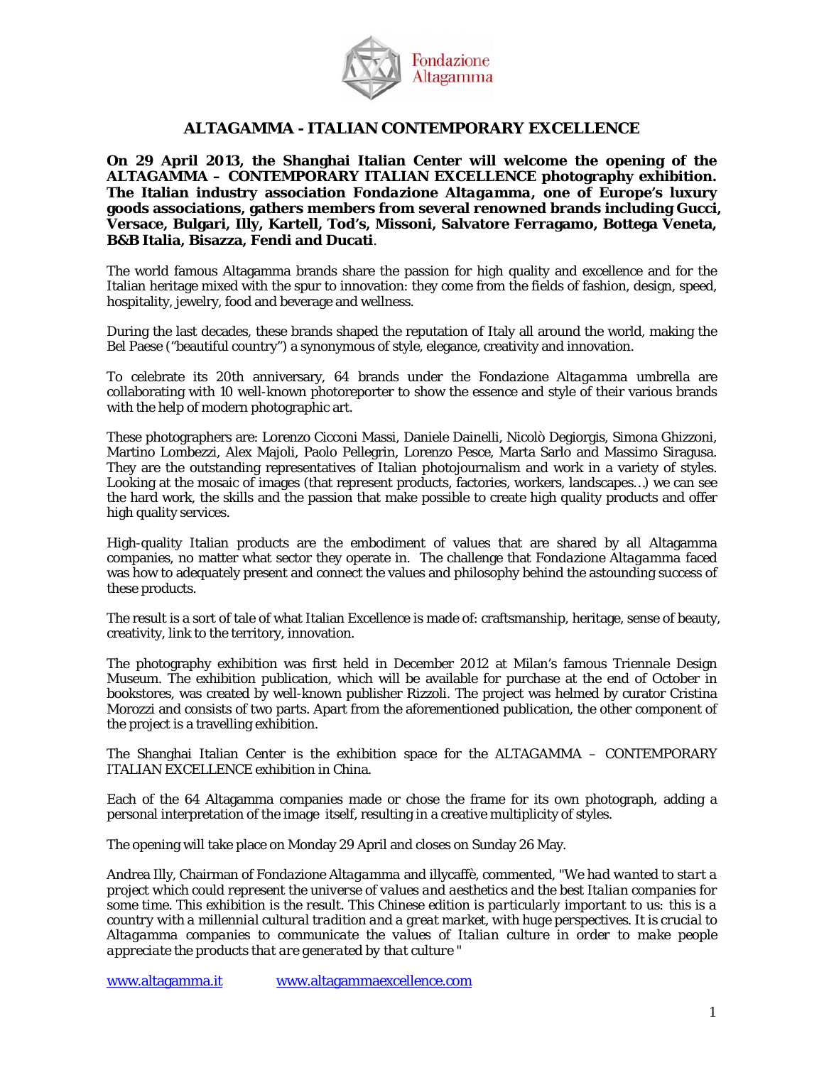

#### **ALTAGAMMA - ITALIAN CONTEMPORARY EXCELLENCE**

**On 29 April 2013, the Shanghai Italian Center will welcome the opening of the ALTAGAMMA – CONTEMPORARY ITALIAN EXCELLENCE photography exhibition. The Italian industry association** *Fondazione Altagamma***, one of Europe's luxury goods associations, gathers members from several renowned brands including Gucci, Versace, Bulgari, Illy, Kartell, Tod's, Missoni, Salvatore Ferragamo, Bottega Veneta, B&B Italia, Bisazza, Fendi and Ducati**.

The world famous Altagamma brands share the passion for high quality and excellence and for the Italian heritage mixed with the spur to innovation: they come from the fields of fashion, design, speed, hospitality, jewelry, food and beverage and wellness.

During the last decades, these brands shaped the reputation of Italy all around the world, making the Bel Paese ("beautiful country") a synonymous of style, elegance, creativity and innovation.

To celebrate its 20th anniversary, 64 brands under the *Fondazione Altagamma* umbrella are collaborating with 10 well-known photoreporter to show the essence and style of their various brands with the help of modern photographic art.

These photographers are: Lorenzo Cicconi Massi, Daniele Dainelli, Nicolò Degiorgis, Simona Ghizzoni, Martino Lombezzi, Alex Majoli, Paolo Pellegrin, Lorenzo Pesce, Marta Sarlo and Massimo Siragusa. They are the outstanding representatives of Italian photojournalism and work in a variety of styles. Looking at the mosaic of images (that represent products, factories, workers, landscapes…) we can see the hard work, the skills and the passion that make possible to create high quality products and offer high quality services.

High-quality Italian products are the embodiment of values that are shared by all Altagamma companies, no matter what sector they operate in. The challenge that *Fondazione Altagamma* faced was how to adequately present and connect the values and philosophy behind the astounding success of these products.

The result is a sort of tale of what Italian Excellence is made of: craftsmanship, heritage, sense of beauty, creativity, link to the territory, innovation.

The photography exhibition was first held in December 2012 at Milan's famous Triennale Design Museum. The exhibition publication, which will be available for purchase at the end of October in bookstores, was created by well-known publisher Rizzoli. The project was helmed by curator Cristina Morozzi and consists of two parts. Apart from the aforementioned publication, the other component of the project is a travelling exhibition.

The Shanghai Italian Center is the exhibition space for the ALTAGAMMA – CONTEMPORARY ITALIAN EXCELLENCE exhibition in China.

Each of the 64 Altagamma companies made or chose the frame for its own photograph, adding a personal interpretation of the image itself, resulting in a creative multiplicity of styles.

The opening will take place on Monday 29 April and closes on Sunday 26 May.

Andrea Illy, Chairman of *Fondazione Altagamma* and illycaffè, commented, "*We had wanted to start a project which could represent the universe of values and aesthetics and the best Italian companies for some time. This exhibition is the result. This Chinese edition is particularly important to us: this is a country with a millennial cultural tradition and a great market, with huge perspectives. It is crucial to Altagamma companies to communicate the values of Italian culture in order to make people appreciate the products that are generated by that culture "* 

www.altagamma.it www.altagammaexcellence.com